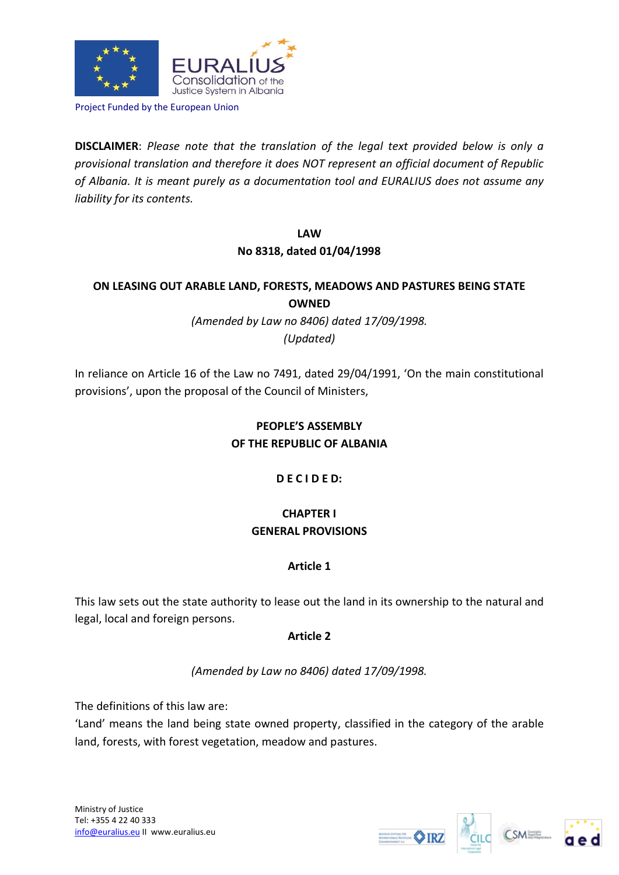

Project Funded by the European Union

**DISCLAIMER**: *Please note that the translation of the legal text provided below is only a provisional translation and therefore it does NOT represent an official document of Republic of Albania. It is meant purely as a documentation tool and EURALIUS does not assume any liability for its contents.*

> **LAW No 8318, dated 01/04/1998**

# **ON LEASING OUT ARABLE LAND, FORESTS, MEADOWS AND PASTURES BEING STATE OWNED**

*(Amended by Law no 8406) dated 17/09/1998. (Updated)* 

In reliance on Article 16 of the Law no 7491, dated 29/04/1991, 'On the main constitutional provisions', upon the proposal of the Council of Ministers,

# **PEOPLE'S ASSEMBLY OF THE REPUBLIC OF ALBANIA**

## **D E C I D E D:**

# **CHAPTER I GENERAL PROVISIONS**

## **Article 1**

This law sets out the state authority to lease out the land in its ownership to the natural and legal, local and foreign persons.

## **Article 2**

*(Amended by Law no 8406) dated 17/09/1998.* 

The definitions of this law are:

'Land' means the land being state owned property, classified in the category of the arable land, forests, with forest vegetation, meadow and pastures.





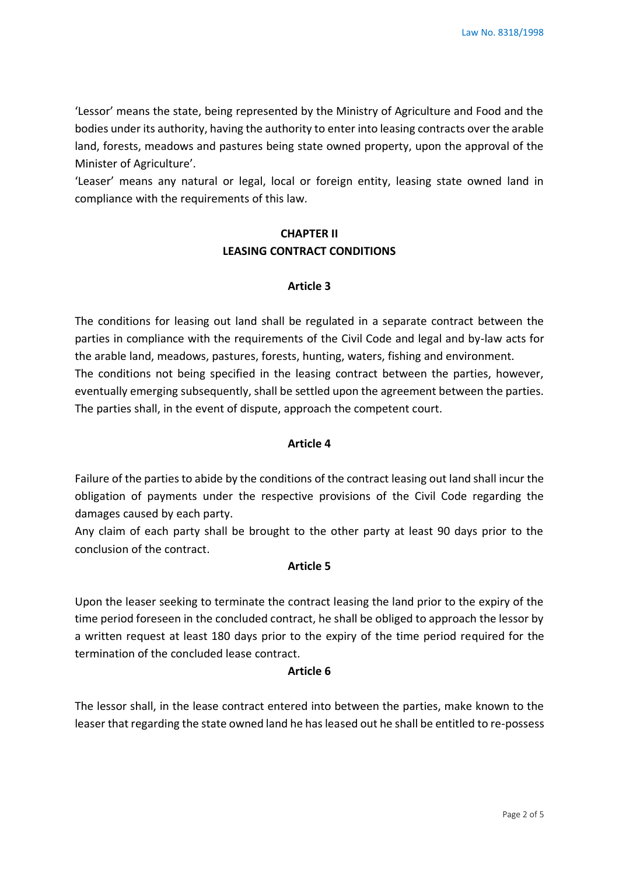'Lessor' means the state, being represented by the Ministry of Agriculture and Food and the bodies under its authority, having the authority to enter into leasing contracts over the arable land, forests, meadows and pastures being state owned property, upon the approval of the Minister of Agriculture'.

'Leaser' means any natural or legal, local or foreign entity, leasing state owned land in compliance with the requirements of this law.

# **CHAPTER II LEASING CONTRACT CONDITIONS**

### **Article 3**

The conditions for leasing out land shall be regulated in a separate contract between the parties in compliance with the requirements of the Civil Code and legal and by-law acts for the arable land, meadows, pastures, forests, hunting, waters, fishing and environment. The conditions not being specified in the leasing contract between the parties, however, eventually emerging subsequently, shall be settled upon the agreement between the parties. The parties shall, in the event of dispute, approach the competent court.

## **Article 4**

Failure of the parties to abide by the conditions of the contract leasing out land shall incur the obligation of payments under the respective provisions of the Civil Code regarding the damages caused by each party.

Any claim of each party shall be brought to the other party at least 90 days prior to the conclusion of the contract.

#### **Article 5**

Upon the leaser seeking to terminate the contract leasing the land prior to the expiry of the time period foreseen in the concluded contract, he shall be obliged to approach the lessor by a written request at least 180 days prior to the expiry of the time period required for the termination of the concluded lease contract.

#### **Article 6**

The lessor shall, in the lease contract entered into between the parties, make known to the leaser that regarding the state owned land he has leased out he shall be entitled to re-possess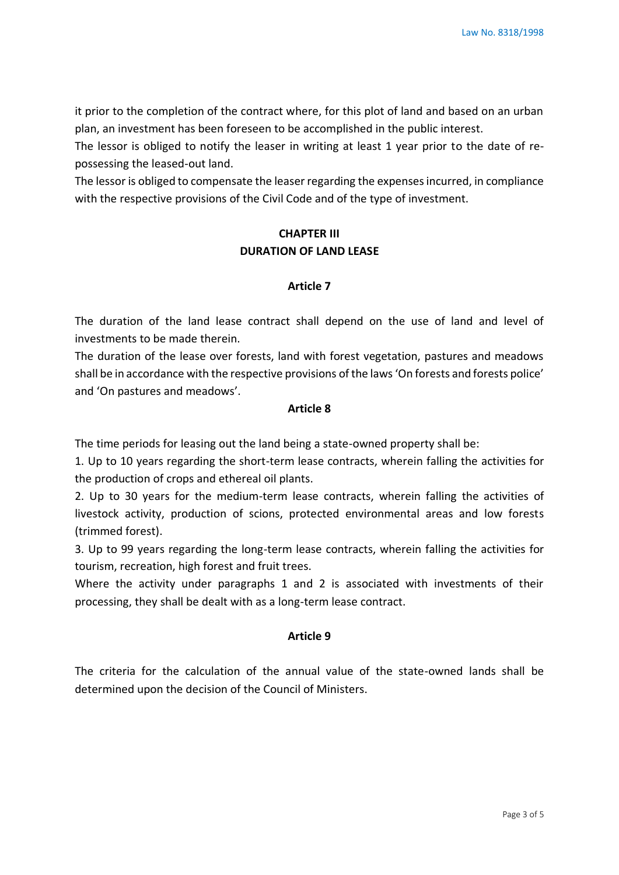it prior to the completion of the contract where, for this plot of land and based on an urban plan, an investment has been foreseen to be accomplished in the public interest.

The lessor is obliged to notify the leaser in writing at least 1 year prior to the date of repossessing the leased-out land.

The lessor is obliged to compensate the leaser regarding the expenses incurred, in compliance with the respective provisions of the Civil Code and of the type of investment.

# **CHAPTER III DURATION OF LAND LEASE**

## **Article 7**

The duration of the land lease contract shall depend on the use of land and level of investments to be made therein.

The duration of the lease over forests, land with forest vegetation, pastures and meadows shall be in accordance with the respective provisions of the laws 'On forests and forests police' and 'On pastures and meadows'.

### **Article 8**

The time periods for leasing out the land being a state-owned property shall be:

1. Up to 10 years regarding the short-term lease contracts, wherein falling the activities for the production of crops and ethereal oil plants.

2. Up to 30 years for the medium-term lease contracts, wherein falling the activities of livestock activity, production of scions, protected environmental areas and low forests (trimmed forest).

3. Up to 99 years regarding the long-term lease contracts, wherein falling the activities for tourism, recreation, high forest and fruit trees.

Where the activity under paragraphs 1 and 2 is associated with investments of their processing, they shall be dealt with as a long-term lease contract.

## **Article 9**

The criteria for the calculation of the annual value of the state-owned lands shall be determined upon the decision of the Council of Ministers.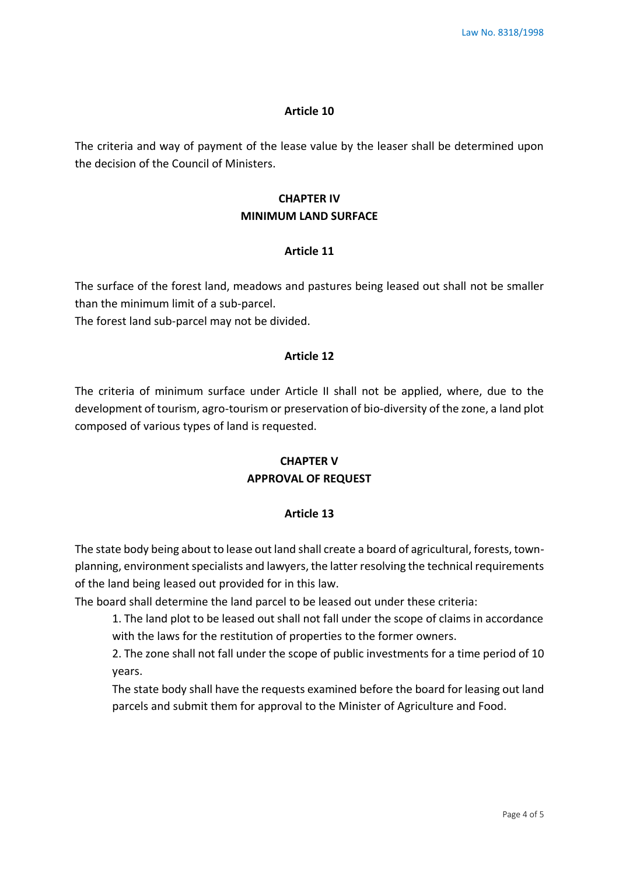#### **Article 10**

The criteria and way of payment of the lease value by the leaser shall be determined upon the decision of the Council of Ministers.

## **CHAPTER IV MINIMUM LAND SURFACE**

#### **Article 11**

The surface of the forest land, meadows and pastures being leased out shall not be smaller than the minimum limit of a sub-parcel.

The forest land sub-parcel may not be divided.

#### **Article 12**

The criteria of minimum surface under Article II shall not be applied, where, due to the development of tourism, agro-tourism or preservation of bio-diversity of the zone, a land plot composed of various types of land is requested.

## **CHAPTER V APPROVAL OF REQUEST**

#### **Article 13**

The state body being about to lease out land shall create a board of agricultural, forests, townplanning, environment specialists and lawyers, the latter resolving the technical requirements of the land being leased out provided for in this law.

The board shall determine the land parcel to be leased out under these criteria:

1. The land plot to be leased out shall not fall under the scope of claims in accordance with the laws for the restitution of properties to the former owners.

2. The zone shall not fall under the scope of public investments for a time period of 10 years.

The state body shall have the requests examined before the board for leasing out land parcels and submit them for approval to the Minister of Agriculture and Food.